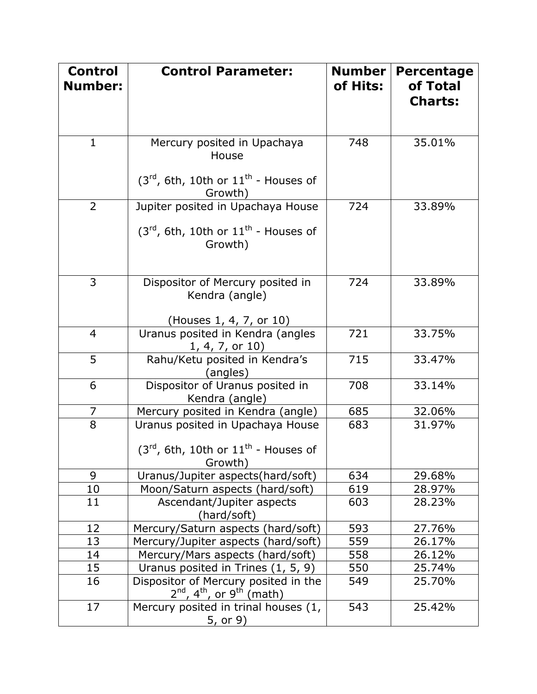| <b>Control</b><br><b>Number:</b> | <b>Control Parameter:</b>                                                                               | <b>Number</b><br>of Hits: | <b>Percentage</b><br>of Total<br><b>Charts:</b> |
|----------------------------------|---------------------------------------------------------------------------------------------------------|---------------------------|-------------------------------------------------|
| $\mathbf{1}$                     | Mercury posited in Upachaya<br>House<br>$(3^{rd}, 6th, 10th$ or $11^{th}$ - Houses of<br>Growth)        | 748                       | 35.01%                                          |
| $\overline{2}$                   | Jupiter posited in Upachaya House<br>$(3rd, 6th, 10th or 11th - House of)$<br>Growth)                   | 724                       | 33.89%                                          |
| 3                                | Dispositor of Mercury posited in<br>Kendra (angle)<br>(Houses 1, 4, 7, or 10)                           | 724                       | 33.89%                                          |
| $\overline{4}$                   | Uranus posited in Kendra (angles<br>$1, 4, 7,$ or $10)$                                                 | 721                       | 33.75%                                          |
| 5                                | Rahu/Ketu posited in Kendra's<br>(angles)                                                               | 715                       | 33.47%                                          |
| 6                                | Dispositor of Uranus posited in<br>Kendra (angle)                                                       | 708                       | 33.14%                                          |
| 7                                | Mercury posited in Kendra (angle)                                                                       | 685                       | 32.06%                                          |
| 8                                | Uranus posited in Upachaya House<br>(3 $^{\sf rd}$ , 6th, 10th or 11 $^{\sf th}$ - Houses of<br>Growth) | 683                       | 31.97%                                          |
| 9                                | Uranus/Jupiter aspects(hard/soft)                                                                       | 634                       | 29.68%                                          |
| <u>10</u>                        | Moon/Saturn aspects (hard/soft)                                                                         | 619                       | 28.97%                                          |
| 11                               | Ascendant/Jupiter aspects<br>(hard/soft)                                                                | 603                       | 28.23%                                          |
| 12                               | Mercury/Saturn aspects (hard/soft)                                                                      | 593                       | 27.76%                                          |
| 13                               | Mercury/Jupiter aspects (hard/soft)                                                                     | 559                       | 26.17%                                          |
| 14                               | Mercury/Mars aspects (hard/soft)                                                                        | 558                       | 26.12%                                          |
| 15                               | Uranus posited in Trines (1, 5, 9)                                                                      | 550                       | 25.74%                                          |
| 16                               | Dispositor of Mercury posited in the<br>$2^{nd}$ , 4 <sup>th</sup> , or 9 <sup>th</sup> (math)          | 549                       | 25.70%                                          |
| 17                               | Mercury posited in trinal houses (1,<br>5, or 9)                                                        | 543                       | 25.42%                                          |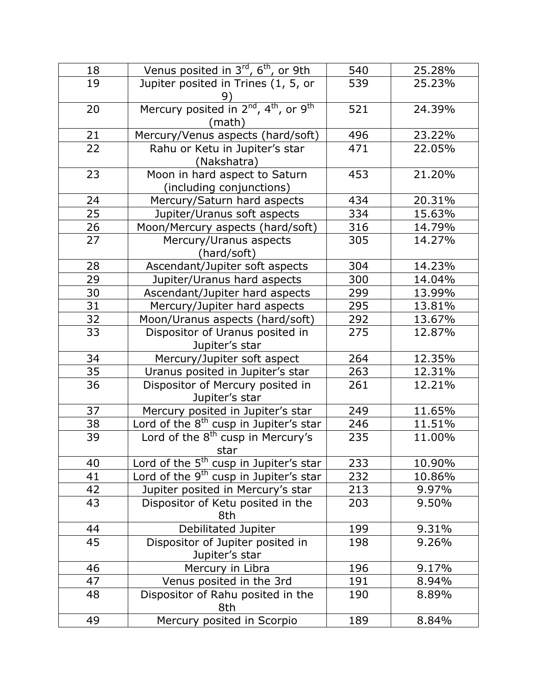| 18 | Venus posited in 3 <sup>rd</sup> , 6 <sup>th</sup> , or 9th                         | 540 | 25.28% |
|----|-------------------------------------------------------------------------------------|-----|--------|
| 19 | Jupiter posited in Trines (1, 5, or<br>9)                                           | 539 | 25.23% |
| 20 | Mercury posited in 2 <sup>nd</sup> , 4 <sup>th</sup> , or 9 <sup>th</sup><br>(math) | 521 | 24.39% |
| 21 | Mercury/Venus aspects (hard/soft)                                                   | 496 | 23.22% |
| 22 | Rahu or Ketu in Jupiter's star<br>(Nakshatra)                                       | 471 | 22.05% |
| 23 | Moon in hard aspect to Saturn<br>(including conjunctions)                           | 453 | 21.20% |
| 24 | Mercury/Saturn hard aspects                                                         | 434 | 20.31% |
| 25 | Jupiter/Uranus soft aspects                                                         | 334 | 15.63% |
| 26 | Moon/Mercury aspects (hard/soft)                                                    | 316 | 14.79% |
| 27 | Mercury/Uranus aspects<br>(hard/soft)                                               | 305 | 14.27% |
| 28 | Ascendant/Jupiter soft aspects                                                      | 304 | 14.23% |
| 29 | Jupiter/Uranus hard aspects                                                         | 300 | 14.04% |
| 30 | Ascendant/Jupiter hard aspects                                                      | 299 | 13.99% |
| 31 | Mercury/Jupiter hard aspects                                                        | 295 | 13.81% |
| 32 | Moon/Uranus aspects (hard/soft)                                                     | 292 | 13.67% |
| 33 | Dispositor of Uranus posited in<br>Jupiter's star                                   | 275 | 12.87% |
| 34 | Mercury/Jupiter soft aspect                                                         | 264 | 12.35% |
| 35 | Uranus posited in Jupiter's star                                                    | 263 | 12.31% |
| 36 | Dispositor of Mercury posited in<br>Jupiter's star                                  | 261 | 12.21% |
| 37 | Mercury posited in Jupiter's star                                                   | 249 | 11.65% |
| 38 | Lord of the $8th$ cusp in Jupiter's star                                            | 246 | 11.51% |
| 39 | Lord of the 8 <sup>th</sup> cusp in Mercury's<br>star                               | 235 | 11.00% |
| 40 | Lord of the 5 <sup>th</sup> cusp in Jupiter's star                                  | 233 | 10.90% |
| 41 | Lord of the 9 <sup>th</sup> cusp in Jupiter's star                                  | 232 | 10.86% |
| 42 | Jupiter posited in Mercury's star                                                   | 213 | 9.97%  |
| 43 | Dispositor of Ketu posited in the<br>8th                                            | 203 | 9.50%  |
| 44 | Debilitated Jupiter                                                                 | 199 | 9.31%  |
| 45 | Dispositor of Jupiter posited in<br>Jupiter's star                                  | 198 | 9.26%  |
| 46 | Mercury in Libra                                                                    | 196 | 9.17%  |
| 47 | Venus posited in the 3rd                                                            | 191 | 8.94%  |
| 48 | Dispositor of Rahu posited in the<br>8th                                            | 190 | 8.89%  |
| 49 | Mercury posited in Scorpio                                                          | 189 | 8.84%  |